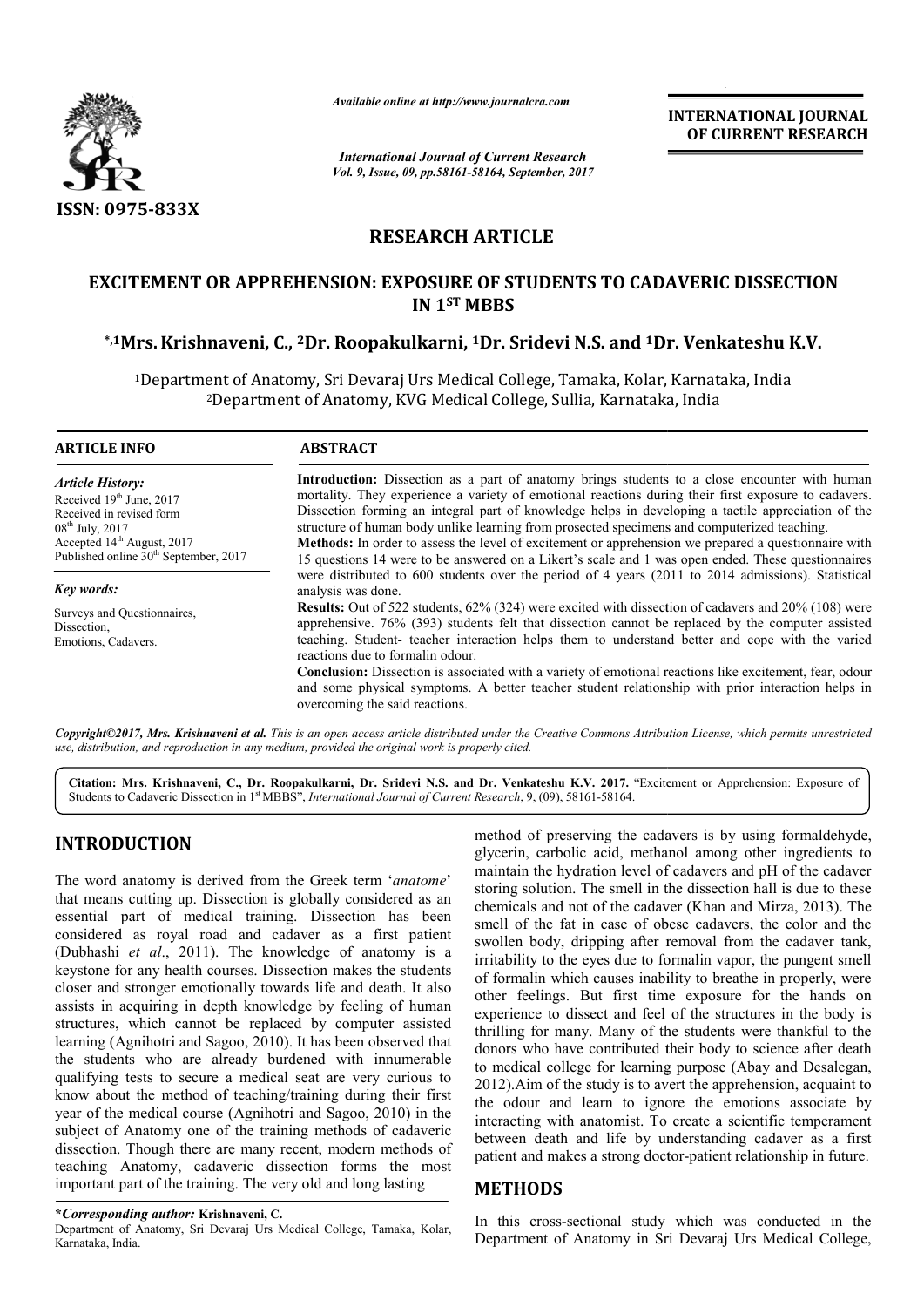

*Available online at http://www.journal http://www.journalcra.com*

*Vol. 9, Issue, 09, pp.58161-58164, September, 2017 International Journal of Current Research*

**INTERNATIONAL JOURNAL OF CURRENT RESEARCH** 

# **RESEARCH ARTICLE**

# **EXCITEMENT OR APPREHENSION: EXPOSURE OF STUDENTS TO CADAVERIC DISSECTION \*,1Mrs.Krishnaveni, C., 2Dr. Roopakulkarni, 1Dr. Sridevi N.S. and 1Dr. Venkateshu K.V. EXPOSURE OF Dr. IN 1ST MBBS**

1Department of Anatomy, Sri Devaraj Urs Medical College, Tamaka, Kolar, Karnataka, India Department Department College, Sullia, Karnataka, India ent of Anatomy, Sri Devaraj Urs Medical College<br><sup>2</sup>Department of Anatomy, KVG Medical College,

| <b>ARTICLE INFO</b>                                                                                                                                                                            | <b>ABSTRACT</b>                                                                                                                                                                                                                                                                                                                                                                                                                                                                                                                                                                                                                                                                                                                                                                                                                                                                                                                                                                                                                                                                                                              |  |  |  |  |  |  |  |
|------------------------------------------------------------------------------------------------------------------------------------------------------------------------------------------------|------------------------------------------------------------------------------------------------------------------------------------------------------------------------------------------------------------------------------------------------------------------------------------------------------------------------------------------------------------------------------------------------------------------------------------------------------------------------------------------------------------------------------------------------------------------------------------------------------------------------------------------------------------------------------------------------------------------------------------------------------------------------------------------------------------------------------------------------------------------------------------------------------------------------------------------------------------------------------------------------------------------------------------------------------------------------------------------------------------------------------|--|--|--|--|--|--|--|
| <b>Article History:</b><br>Received $19th$ June, 2017<br>Received in revised form<br>$08^{th}$ July, 2017<br>Accepted $14th$ August, 2017<br>Published online 30 <sup>th</sup> September, 2017 | <b>Introduction:</b> Dissection as a part of anatomy brings students to a close encounter with human<br>mortality. They experience a variety of emotional reactions during their first exposure to cadavers.<br>Dissection forming an integral part of knowledge helps in developing a tactile appreciation of the<br>structure of human body unlike learning from prosected specimens and computerized teaching.<br><b>Methods:</b> In order to assess the level of excitement or apprehension we prepared a questionnaire with<br>15 questions 14 were to be answered on a Likert's scale and 1 was open ended. These questionnaires<br>were distributed to 600 students over the period of 4 years (2011 to 2014 admissions). Statistical<br>analysis was done.<br><b>Results:</b> Out of 522 students, 62% (324) were excited with dissection of cadavers and 20% (108) were<br>apprehensive. 76% (393) students felt that dissection cannot be replaced by the computer assisted<br>teaching. Student- teacher interaction helps them to understand better and cope with the varied<br>reactions due to formal n odour. |  |  |  |  |  |  |  |
| Key words:<br>Surveys and Questionnaires,<br>Dissection,<br>Emotions, Cadavers.                                                                                                                |                                                                                                                                                                                                                                                                                                                                                                                                                                                                                                                                                                                                                                                                                                                                                                                                                                                                                                                                                                                                                                                                                                                              |  |  |  |  |  |  |  |
|                                                                                                                                                                                                | Conclusion: Dissection is associated with a variety of emotional reactions like excitement, fear, odour<br>and some physical symptoms. A better teacher student relationship with prior interaction helps in<br>overcoming the said reactions.                                                                                                                                                                                                                                                                                                                                                                                                                                                                                                                                                                                                                                                                                                                                                                                                                                                                               |  |  |  |  |  |  |  |

*Copyright©2017, Mrs. Krishnaveni et al. This is an open access article distributed under the Creative Commons Att Attribution License, which ribution License, permits unrestricted use, distribution, and reproduction in any medium, provided the original work is properly cited.*

Citation: Mrs. Krishnaveni, C., Dr. Roopakulkarni, Dr. Sridevi N.S. and Dr. Venkateshu K.V. 2017. "Excitement or Apprehension: Exposure of Students to Cadaveric Dissection in 1<sup>st</sup> MBBS", *International Journal of Current Research*, 9, (09), 58161-58164.

# **INTRODUCTION**

The word anatomy is derived from the Greek term ' *anatome*' that means cutting up. Dissection is globally considered as an essential part of medical training. Dissection has been considered as royal road and cadaver as a first patient (Dubhashi *et al*., 2011). The knowledge of anatomy is a keystone for any health courses. Dissection ma makes the students closer and stronger emotionally towards life and death. It also assists in acquiring in depth knowledge by feeling of human structures, which cannot be replaced by computer assisted learning (Agnihotri and Sagoo, 2010). It has been observed that the students who are already burdened with innumerable qualifying tests to secure a medical seat are very curious to know about the method of teaching/training during their first year of the medical course (Agnihotri and Sagoo, 2010) in the subject of Anatomy one of the training methods of cadaveric dissection. Though there are many recent, modern methods of teaching Anatomy, cadaveric dissection forms the most important part of the training. The very old and long lasting

Department of Anatomy, Sri Devaraj Urs Medical College, Tamaka, Kolar, Karnataka, India.

method of preserving the cadavers is by using formaldehyde, glycerin, carbolic acid, methanol among other ingredients to maintain the hydration level of cadavers and pH of the cadaver storing solution. The smell in the dissection hall is due to these chemicals and not of the cadaver (Khan and Mirza, 2013). The smell of the fat in case of obese cadavers, the color and the smell of the fat in case of obese cadavers, the color and the swollen body, dripping after removal from the cadaver tank, irritability to the eyes due to formalin vapor, the pungent smell of formalin which causes inability to breathe in properly, were other feelings. But first time exposure for the hands on experience to dissect and feel of the structures in the body is thrilling for many. Many of the students were thankful to the donors who have contributed their body to science after death to medical college for learning purpose (Abay 2012). Aim of the study is to avert the apprehension, acquaint to the odour and learn to ignore the emotions associate by interacting with anatomist. To create a scientific temperament between death and life by understanding cadaver as a first patient and makes a strong doctor-patient relationship in future. serving the cadavers is by using formaldehyde,<br>blic acid, methanol among other ingredients to<br>ydration level of cadavers and pH of the cadaver<br>n. The smell in the dissection hall is due to these<br>not of the cadaver (Khan an tability to the eyes due to formalin vapor, the pungent smell formalin which causes inability to breathe in properly, were the feelings. But first time exposure for the hands on perience to dissect and feel of the structur If for many. Many of the students were thankful to the who have contributed their body to science after death cal college for learning purpose (Abay and Desalegan, odour and learn to ignore the emotions associate by acting with anatomist. To create a scientific temperament reen death and life by understanding cadaver as a first ent and makes a strong doctor-patient relationship in fu **INTERNATIONAL JOURNAL**<br> **IDENTIFIENT (INTERNATIONAL JOURNAL COF CURRENT RESEARCH**<br> **Cof**<br> **COF CURRENT RESEARCH**<br> **COF CURRENT RESEARCH**<br> **IN.S. and <sup>1</sup>Dr. Venkateshu K.V.**<br> **Comparison and internal internal internal inte** 

### **METHODS**

In this cross-sectional study which was conducted in the Department of Anatomy in Sri Devaraj Urs Medical College,

**<sup>\*</sup>***Corresponding author:* **Krishnaveni, C.**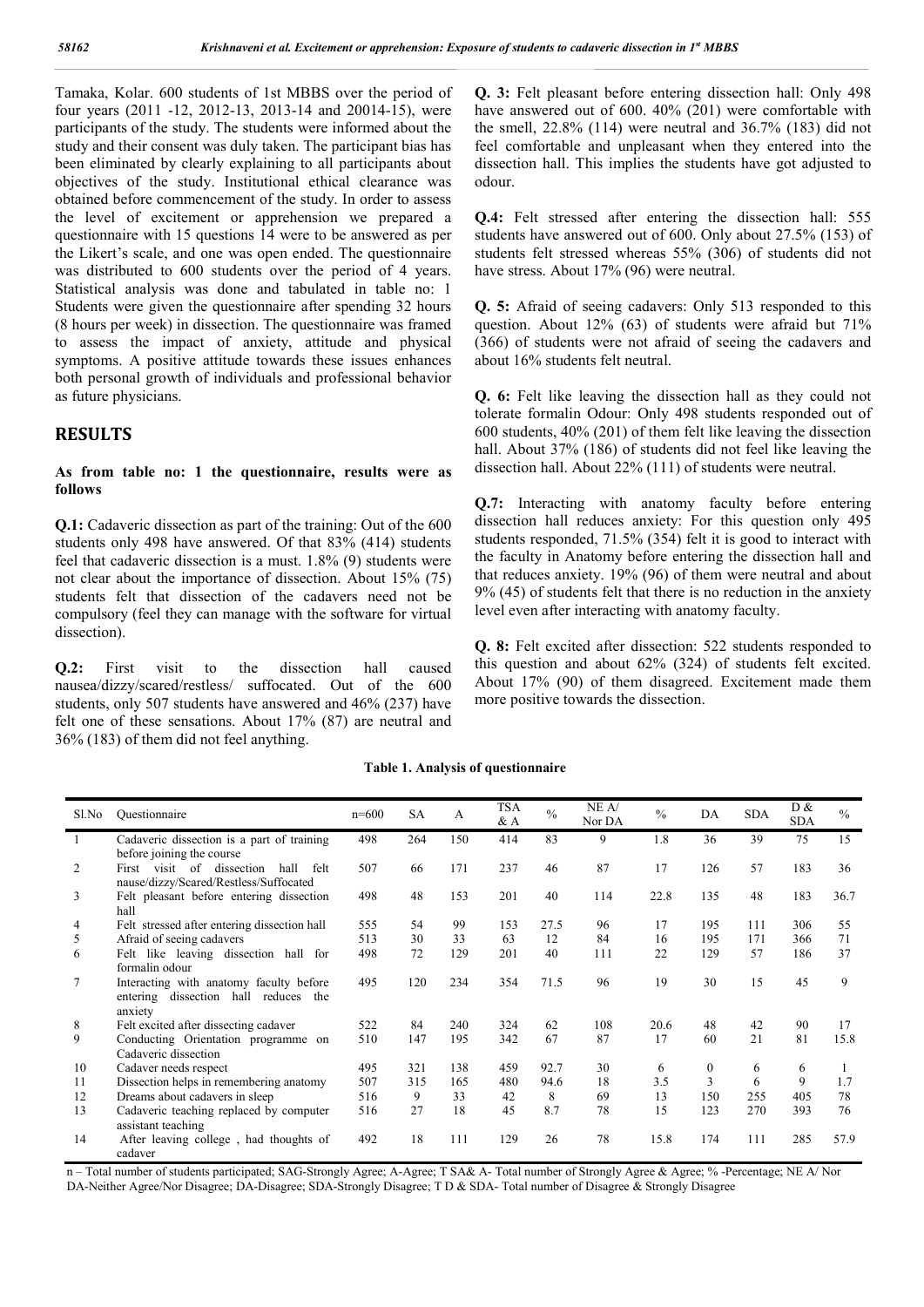Tamaka, Kolar. 600 students of 1st MBBS over the period of four years (2011 -12, 2012-13, 2013-14 and 20014-15), were participants of the study. The students were informed about the study and their consent was duly taken. The participant bias has been eliminated by clearly explaining to all participants about objectives of the study. Institutional ethical clearance was obtained before commencement of the study. In order to assess the level of excitement or apprehension we prepared a questionnaire with 15 questions 14 were to be answered as per the Likert's scale, and one was open ended. The questionnaire was distributed to 600 students over the period of 4 years. Statistical analysis was done and tabulated in table no: 1 Students were given the questionnaire after spending 32 hours (8 hours per week) in dissection. The questionnaire was framed to assess the impact of anxiety, attitude and physical symptoms. A positive attitude towards these issues enhances both personal growth of individuals and professional behavior as future physicians.

# **RESULTS**

#### **As from table no: 1 the questionnaire, results were as follows**

**Q.1:** Cadaveric dissection as part of the training: Out of the 600 students only 498 have answered. Of that 83% (414) students feel that cadaveric dissection is a must. 1.8% (9) students were not clear about the importance of dissection. About 15% (75) students felt that dissection of the cadavers need not be compulsory (feel they can manage with the software for virtual dissection).

**Q.2:** First visit to the dissection hall caused nausea/dizzy/scared/restless/ suffocated. Out of the 600 students, only 507 students have answered and 46% (237) have felt one of these sensations. About 17% (87) are neutral and 36% (183) of them did not feel anything.

**Q. 3:** Felt pleasant before entering dissection hall: Only 498 have answered out of 600. 40% (201) were comfortable with the smell, 22.8% (114) were neutral and 36.7% (183) did not feel comfortable and unpleasant when they entered into the dissection hall. This implies the students have got adjusted to odour.

**Q.4:** Felt stressed after entering the dissection hall: 555 students have answered out of 600. Only about 27.5% (153) of students felt stressed whereas 55% (306) of students did not have stress. About 17% (96) were neutral.

**Q. 5:** Afraid of seeing cadavers: Only 513 responded to this question. About 12% (63) of students were afraid but 71% (366) of students were not afraid of seeing the cadavers and about 16% students felt neutral.

**Q. 6:** Felt like leaving the dissection hall as they could not tolerate formalin Odour: Only 498 students responded out of 600 students, 40% (201) of them felt like leaving the dissection hall. About 37% (186) of students did not feel like leaving the dissection hall. About 22% (111) of students were neutral.

**Q.7:** Interacting with anatomy faculty before entering dissection hall reduces anxiety: For this question only 495 students responded, 71.5% (354) felt it is good to interact with the faculty in Anatomy before entering the dissection hall and that reduces anxiety. 19% (96) of them were neutral and about 9% (45) of students felt that there is no reduction in the anxiety level even after interacting with anatomy faculty.

**Q. 8:** Felt excited after dissection: 522 students responded to this question and about 62% (324) of students felt excited. About 17% (90) of them disagreed. Excitement made them more positive towards the dissection.

#### **Table 1. Analysis of questionnaire**

| Sl.No          | Questionnaire                                                                              | $n=600$ | <b>SA</b> | A   | TSA<br>$&\mathbf{A}$ | $\frac{0}{0}$ | NE A/<br>Nor DA | $\frac{0}{0}$ | DA       | <b>SDA</b> | D &<br><b>SDA</b> | $\frac{0}{0}$ |
|----------------|--------------------------------------------------------------------------------------------|---------|-----------|-----|----------------------|---------------|-----------------|---------------|----------|------------|-------------------|---------------|
|                | Cadaveric dissection is a part of training<br>before joining the course                    | 498     | 264       | 150 | 414                  | 83            | 9               | 1.8           | 36       | 39         | 75                | 15            |
| 2              | First visit of dissection<br>hall<br>felt<br>nause/dizzy/Scared/Restless/Suffocated        | 507     | 66        | 171 | 237                  | 46            | 87              | 17            | 126      | 57         | 183               | 36            |
| $\overline{3}$ | Felt pleasant before entering dissection<br>hall                                           | 498     | 48        | 153 | 201                  | 40            | 114             | 22.8          | 135      | 48         | 183               | 36.7          |
| 4              | Felt stressed after entering dissection hall                                               | 555     | 54        | 99  | 153                  | 27.5          | 96              | 17            | 195      | 111        | 306               | 55            |
| 5              | Afraid of seeing cadavers                                                                  | 513     | 30        | 33  | 63                   | 12            | 84              | 16            | 195      | 171        | 366               | 71            |
| -6             | Felt like leaving dissection hall for<br>formalin odour                                    | 498     | 72        | 129 | 201                  | 40            | 111             | 22            | 129      | 57         | 186               | 37            |
| 7              | Interacting with anatomy faculty before<br>entering dissection hall reduces the<br>anxiety | 495     | 120       | 234 | 354                  | 71.5          | 96              | 19            | 30       | 15         | 45                | 9             |
| 8              | Felt excited after dissecting cadaver                                                      | 522     | 84        | 240 | 324                  | 62            | 108             | 20.6          | 48       | 42         | 90                | 17            |
| 9              | Conducting Orientation programme on<br>Cadaveric dissection                                | 510     | 147       | 195 | 342                  | 67            | 87              | 17            | 60       | 21         | 81                | 15.8          |
| 10             | Cadaver needs respect                                                                      | 495     | 321       | 138 | 459                  | 92.7          | 30              | 6             | $\theta$ | 6          | 6                 |               |
| 11             | Dissection helps in remembering anatomy                                                    | 507     | 315       | 165 | 480                  | 94.6          | 18              | 3.5           | 3        | 6          | 9                 | 1.7           |
| 12             | Dreams about cadavers in sleep                                                             | 516     | 9         | 33  | 42                   | 8             | 69              | 13            | 150      | 255        | 405               | 78            |
| 13             | Cadaveric teaching replaced by computer<br>assistant teaching                              | 516     | 27        | 18  | 45                   | 8.7           | 78              | 15            | 123      | 270        | 393               | 76            |
| 14             | After leaving college, had thoughts of<br>cadaver                                          | 492     | 18        | 111 | 129                  | 26            | 78              | 15.8          | 174      | 111        | 285               | 57.9          |

n – Total number of students participated; SAG-Strongly Agree; A-Agree; T SA& A- Total number of Strongly Agree & Agree; % -Percentage; NE A/ Nor DA-Neither Agree/Nor Disagree; DA-Disagree; SDA-Strongly Disagree; T D & SDA- Total number of Disagree & Strongly Disagree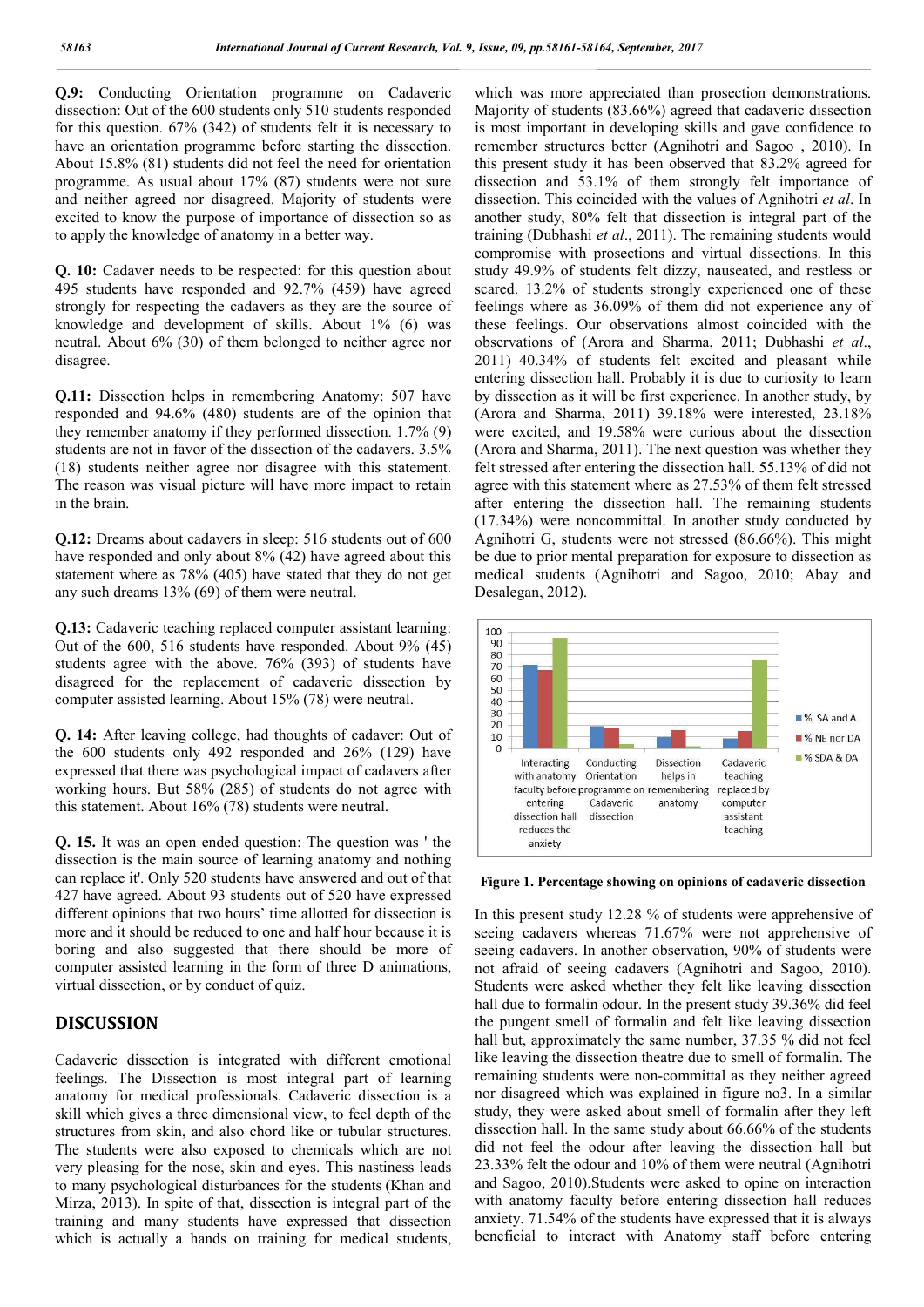**Q.9:** Conducting Orientation programme on Cadaveric dissection: Out of the 600 students only 510 students responded for this question. 67% (342) of students felt it is necessary to have an orientation programme before starting the dissection. About 15.8% (81) students did not feel the need for orientation programme. As usual about 17% (87) students were not sure and neither agreed nor disagreed. Majority of students were excited to know the purpose of importance of dissection so as to apply the knowledge of anatomy in a better way.

**Q. 10:** Cadaver needs to be respected: for this question about 495 students have responded and 92.7% (459) have agreed strongly for respecting the cadavers as they are the source of knowledge and development of skills. About 1% (6) was neutral. About 6% (30) of them belonged to neither agree nor disagree.

**Q.11:** Dissection helps in remembering Anatomy: 507 have responded and 94.6% (480) students are of the opinion that they remember anatomy if they performed dissection. 1.7% (9) students are not in favor of the dissection of the cadavers. 3.5% (18) students neither agree nor disagree with this statement. The reason was visual picture will have more impact to retain in the brain.

**Q.12:** Dreams about cadavers in sleep: 516 students out of 600 have responded and only about 8% (42) have agreed about this statement where as 78% (405) have stated that they do not get any such dreams 13% (69) of them were neutral.

**Q.13:** Cadaveric teaching replaced computer assistant learning: Out of the 600, 516 students have responded. About 9% (45) students agree with the above. 76% (393) of students have disagreed for the replacement of cadaveric dissection by computer assisted learning. About 15% (78) were neutral.

**Q. 14:** After leaving college, had thoughts of cadaver: Out of the 600 students only 492 responded and 26% (129) have expressed that there was psychological impact of cadavers after working hours. But 58% (285) of students do not agree with this statement. About 16% (78) students were neutral.

**Q. 15.** It was an open ended question: The question was ' the dissection is the main source of learning anatomy and nothing can replace it'. Only 520 students have answered and out of that 427 have agreed. About 93 students out of 520 have expressed different opinions that two hours' time allotted for dissection is more and it should be reduced to one and half hour because it is boring and also suggested that there should be more of computer assisted learning in the form of three D animations, virtual dissection, or by conduct of quiz.

# **DISCUSSION**

Cadaveric dissection is integrated with different emotional feelings. The Dissection is most integral part of learning anatomy for medical professionals. Cadaveric dissection is a skill which gives a three dimensional view, to feel depth of the structures from skin, and also chord like or tubular structures. The students were also exposed to chemicals which are not very pleasing for the nose, skin and eyes. This nastiness leads to many psychological disturbances for the students (Khan and Mirza, 2013). In spite of that, dissection is integral part of the training and many students have expressed that dissection which is actually a hands on training for medical students,

which was more appreciated than prosection demonstrations. Majority of students (83.66%) agreed that cadaveric dissection is most important in developing skills and gave confidence to remember structures better (Agnihotri and Sagoo , 2010). In this present study it has been observed that 83.2% agreed for dissection and 53.1% of them strongly felt importance of dissection. This coincided with the values of Agnihotri *et al*. In another study, 80% felt that dissection is integral part of the training (Dubhashi *et al*., 2011). The remaining students would compromise with prosections and virtual dissections. In this study 49.9% of students felt dizzy, nauseated, and restless or scared. 13.2% of students strongly experienced one of these feelings where as 36.09% of them did not experience any of these feelings. Our observations almost coincided with the observations of (Arora and Sharma, 2011; Dubhashi *et al*., 2011) 40.34% of students felt excited and pleasant while entering dissection hall. Probably it is due to curiosity to learn by dissection as it will be first experience. In another study, by (Arora and Sharma, 2011) 39.18% were interested, 23.18% were excited, and 19.58% were curious about the dissection (Arora and Sharma, 2011). The next question was whether they felt stressed after entering the dissection hall. 55.13% of did not agree with this statement where as 27.53% of them felt stressed after entering the dissection hall. The remaining students (17.34%) were noncommittal. In another study conducted by Agnihotri G, students were not stressed (86.66%). This might be due to prior mental preparation for exposure to dissection as medical students (Agnihotri and Sagoo, 2010; Abay and Desalegan, 2012).



**Figure 1. Percentage showing on opinions of cadaveric dissection**

In this present study 12.28 % of students were apprehensive of seeing cadavers whereas 71.67% were not apprehensive of seeing cadavers. In another observation, 90% of students were not afraid of seeing cadavers (Agnihotri and Sagoo, 2010). Students were asked whether they felt like leaving dissection hall due to formalin odour. In the present study 39.36% did feel the pungent smell of formalin and felt like leaving dissection hall but, approximately the same number, 37.35 % did not feel like leaving the dissection theatre due to smell of formalin. The remaining students were non-committal as they neither agreed nor disagreed which was explained in figure no3. In a similar study, they were asked about smell of formalin after they left dissection hall. In the same study about 66.66% of the students did not feel the odour after leaving the dissection hall but 23.33% felt the odour and 10% of them were neutral (Agnihotri and Sagoo, 2010).Students were asked to opine on interaction with anatomy faculty before entering dissection hall reduces anxiety. 71.54% of the students have expressed that it is always beneficial to interact with Anatomy staff before entering